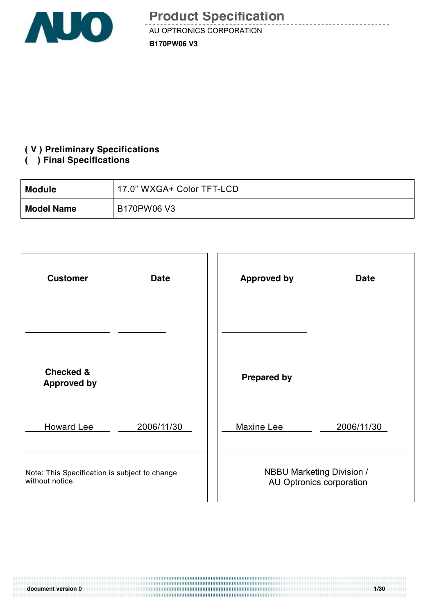

<u>de decembro d</u>

#### **( V ) Preliminary Specifications**

#### **( ) Final Specifications**

11111

| Module            | 17.0" WXGA+ Color TFT-LCD |
|-------------------|---------------------------|
| <b>Model Name</b> | B170PW06 V3               |

| <b>Customer</b>                               | <b>Approved by</b>               |
|-----------------------------------------------|----------------------------------|
| <b>Date</b>                                   | <b>Date</b>                      |
|                                               |                                  |
| <b>Checked &amp;</b><br><b>Approved by</b>    | <b>Prepared by</b>               |
| <b>Howard Lee</b>                             | Maxine Lee                       |
| 2006/11/30                                    | 2006/11/30                       |
| Note: This Specification is subject to change | <b>NBBU Marketing Division /</b> |
| without notice.                               | AU Optronics corporation         |

**document version 0 1/30**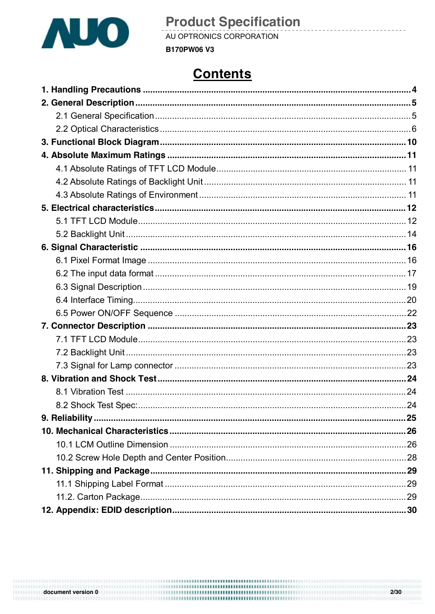

AU OPTRONICS CORPORATION **B170PW06 V3** 

## **Contents**

<u> - - - - - - - - -</u>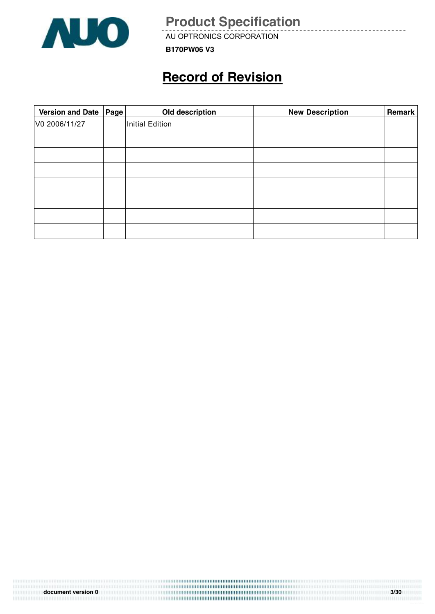

AU OPTRONICS CORPORATION

**B170PW06 V3**

## **Record of Revision**

| Version and Date | Page | Old description        | <b>New Description</b> | Remark |
|------------------|------|------------------------|------------------------|--------|
| V0 2006/11/27    |      | <b>Initial Edition</b> |                        |        |
|                  |      |                        |                        |        |
|                  |      |                        |                        |        |
|                  |      |                        |                        |        |
|                  |      |                        |                        |        |
|                  |      |                        |                        |        |
|                  |      |                        |                        |        |
|                  |      |                        |                        |        |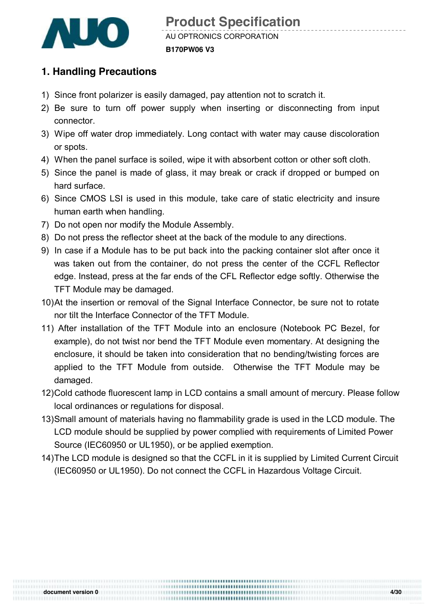

#### **1. Handling Precautions**

- 1) Since front polarizer is easily damaged, pay attention not to scratch it.
- 2) Be sure to turn off power supply when inserting or disconnecting from input connector.
- 3) Wipe off water drop immediately. Long contact with water may cause discoloration or spots.
- 4) When the panel surface is soiled, wipe it with absorbent cotton or other soft cloth.
- 5) Since the panel is made of glass, it may break or crack if dropped or bumped on hard surface.
- 6) Since CMOS LSI is used in this module, take care of static electricity and insure human earth when handling.
- 7) Do not open nor modify the Module Assembly.
- 8) Do not press the reflector sheet at the back of the module to any directions.
- 9) In case if a Module has to be put back into the packing container slot after once it was taken out from the container, do not press the center of the CCFL Reflector edge. Instead, press at the far ends of the CFL Reflector edge softly. Otherwise the TFT Module may be damaged.
- 10)At the insertion or removal of the Signal Interface Connector, be sure not to rotate nor tilt the Interface Connector of the TFT Module.
- 11) After installation of the TFT Module into an enclosure (Notebook PC Bezel, for example), do not twist nor bend the TFT Module even momentary. At designing the enclosure, it should be taken into consideration that no bending/twisting forces are applied to the TFT Module from outside. Otherwise the TFT Module may be damaged.
- 12)Cold cathode fluorescent lamp in LCD contains a small amount of mercury. Please follow local ordinances or regulations for disposal.
- 13)Small amount of materials having no flammability grade is used in the LCD module. The LCD module should be supplied by power complied with requirements of Limited Power Source (IEC60950 or UL1950), or be applied exemption.
- 14)The LCD module is designed so that the CCFL in it is supplied by Limited Current Circuit (IEC60950 or UL1950). Do not connect the CCFL in Hazardous Voltage Circuit.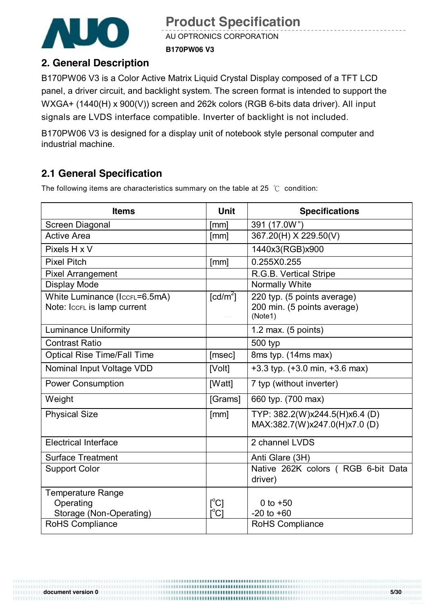

AU OPTRONICS CORPORATION **B170PW06 V3**

#### **2. General Description**

B170PW06 V3 is a Color Active Matrix Liquid Crystal Display composed of a TFT LCD panel, a driver circuit, and backlight system. The screen format is intended to support the WXGA+ (1440(H) x 900(V)) screen and 262k colors (RGB 6-bits data driver). All input signals are LVDS interface compatible. Inverter of backlight is not included.

B170PW06 V3 is designed for a display unit of notebook style personal computer and industrial machine.

## **2.1 General Specification**

The following items are characteristics summary on the table at 25 ℃ condition:

| <b>Items</b>                                                     | <b>Unit</b>                                                                   | <b>Specifications</b>                                                 |
|------------------------------------------------------------------|-------------------------------------------------------------------------------|-----------------------------------------------------------------------|
| Screen Diagonal                                                  | [mm]                                                                          | 391 (17.0W")                                                          |
| <b>Active Area</b>                                               | [mm]                                                                          | 367.20(H) X 229.50(V)                                                 |
| Pixels H x V                                                     |                                                                               | 1440x3(RGB)x900                                                       |
| <b>Pixel Pitch</b>                                               | [mm]                                                                          | 0.255X0.255                                                           |
| <b>Pixel Arrangement</b>                                         |                                                                               | R.G.B. Vertical Stripe                                                |
| <b>Display Mode</b>                                              |                                                                               | <b>Normally White</b>                                                 |
| White Luminance (IccFL=6.5mA)<br>Note: IccFL is lamp current     | $\lceil cd/m^2 \rceil$                                                        | 220 typ. (5 points average)<br>200 min. (5 points average)<br>(Note1) |
| <b>Luminance Uniformity</b>                                      |                                                                               | 1.2 max. $(5$ points)                                                 |
| <b>Contrast Ratio</b>                                            |                                                                               | 500 typ                                                               |
| <b>Optical Rise Time/Fall Time</b>                               | [msec]                                                                        | 8ms typ. (14ms max)                                                   |
| Nominal Input Voltage VDD                                        | [Volt]                                                                        | $+3.3$ typ. $(+3.0 \text{ min}, +3.6 \text{ max})$                    |
| <b>Power Consumption</b>                                         | [Watt]                                                                        | 7 typ (without inverter)                                              |
| Weight                                                           | [Grams]                                                                       | 660 typ. (700 max)                                                    |
| <b>Physical Size</b>                                             | [mm]                                                                          | TYP: 382.2(W)x244.5(H)x6.4 (D)<br>MAX:382.7(W)x247.0(H)x7.0(D)        |
| <b>Electrical Interface</b>                                      |                                                                               | 2 channel LVDS                                                        |
| <b>Surface Treatment</b>                                         |                                                                               | Anti Glare (3H)                                                       |
| <b>Support Color</b>                                             |                                                                               | Native 262K colors ( RGB 6-bit Data<br>driver)                        |
| <b>Temperature Range</b><br>Operating<br>Storage (Non-Operating) | $\mathsf{I}^{\circ}$ Cl<br>$\mathop{\rm l\mskip -3.5mu\phantom{cl}^\circ Cl}$ | 0 to $+50$<br>$-20$ to $+60$                                          |
| RoHS Compliance                                                  |                                                                               | <b>RoHS Compliance</b>                                                |

**document version 0 5/30**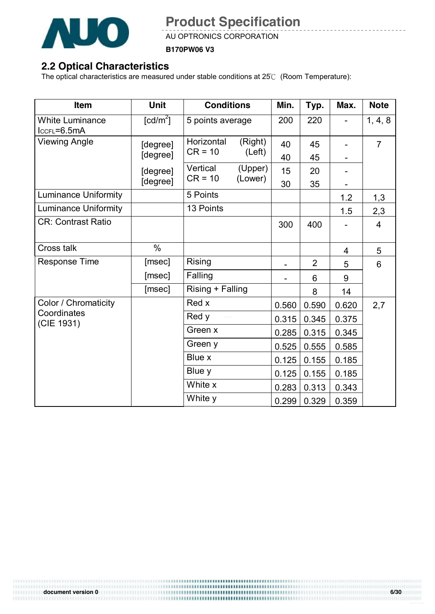

AU OPTRONICS CORPORATION

**B170PW06 V3**

### **2.2 Optical Characteristics**

The optical characteristics are measured under stable conditions at 25℃ (Room Temperature):

| <b>Item</b>                           | <b>Unit</b>            | <b>Conditions</b>       |                    | Min.  | Typ.           | Max.  | <b>Note</b>    |
|---------------------------------------|------------------------|-------------------------|--------------------|-------|----------------|-------|----------------|
| <b>White Luminance</b><br>IccFL=6.5mA | $\lceil cd/m^2 \rceil$ |                         | 5 points average   |       | 220            |       | 1, 4, 8        |
| <b>Viewing Angle</b>                  | [degree]               | Horizontal<br>$CR = 10$ | (Right)<br>(Left)  | 40    | 45             |       | $\overline{7}$ |
|                                       | [degree]               |                         |                    | 40    | 45             |       |                |
|                                       | [degree]               | Vertical<br>$CR = 10$   | (Upper)<br>(Lower) | 15    | 20             |       |                |
|                                       | [degree]               |                         |                    | 30    | 35             |       |                |
| <b>Luminance Uniformity</b>           |                        | 5 Points                |                    |       |                | 1.2   | 1,3            |
| <b>Luminance Uniformity</b>           |                        | 13 Points               |                    |       |                | 1.5   | 2,3            |
| <b>CR: Contrast Ratio</b>             |                        |                         |                    | 300   | 400            |       | $\overline{4}$ |
| Cross talk                            | $\%$                   |                         |                    |       |                | 4     | 5              |
| <b>Response Time</b>                  | [msec]                 | <b>Rising</b>           |                    |       | $\overline{2}$ | 5     | 6              |
|                                       | [msec]                 | Falling                 |                    |       | 6              | 9     |                |
|                                       | [msec]                 | Rising + Falling        |                    |       | 8              | 14    |                |
| Color / Chromaticity                  |                        | Red x                   |                    | 0.560 | 0.590          | 0.620 | 2,7            |
| Coordinates<br>(CIE 1931)             |                        | Red y                   |                    | 0.315 | 0.345          | 0.375 |                |
|                                       |                        | Green x                 |                    | 0.285 | 0.315          | 0.345 |                |
|                                       |                        | Green y                 |                    | 0.525 | 0.555          | 0.585 |                |
|                                       |                        | Blue x                  |                    | 0.125 | 0.155          | 0.185 |                |
|                                       |                        | Blue y                  |                    | 0.125 | 0.155          | 0.185 |                |
|                                       |                        | White x                 |                    | 0.283 | 0.313          | 0.343 |                |
|                                       |                        | White y                 |                    | 0.299 | 0.329          | 0.359 |                |

**document version 0**<br> **document version 0**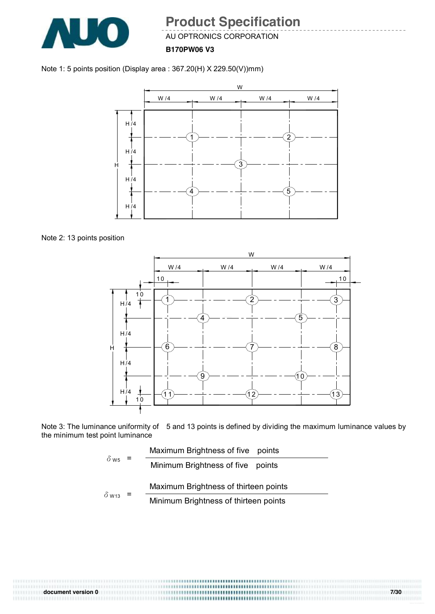

AU OPTRONICS CORPORATION

**B170PW06 V3**





Note 2: 13 points position



Note 3: The luminance uniformity of 5 and 13 points is defined by dividing the maximum luminance values by the minimum test point luminance

$$
\delta_{\text{W5}} = \frac{\text{Maximum brightness of five points}}{\text{Minimum brightness of five points}}
$$
\n
$$
\delta_{\text{W13}} = \frac{\text{Maximum brightness of thirteen points}}{\text{Minimum brightness of thirteen points}}
$$

,,,,,,,,,,,,,,,,,,,,,,,,,,,,,,,,,,,,, **document version 0 7/30**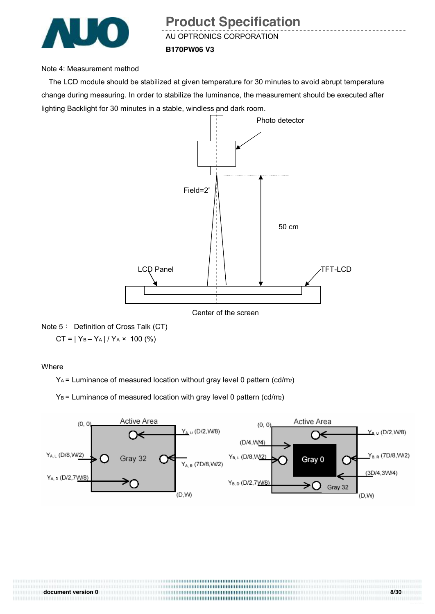

AU OPTRONICS CORPORATION

#### **B170PW06 V3**

#### Note 4: Measurement method

The LCD module should be stabilized at given temperature for 30 minutes to avoid abrupt temperature change during measuring. In order to stabilize the luminance, the measurement should be executed after lighting Backlight for 30 minutes in a stable, windless and dark room.



Note 5: Definition of Cross Talk (CT)  $CT = |Y_B - Y_A| / Y_A \times 100$  (%)

Where

111111111111

YA = Luminance of measured location without gray level 0 pattern (cd/m2)

 $Y_B$  = Luminance of measured location with gray level 0 pattern (cd/m2)



**document version 0 8/30**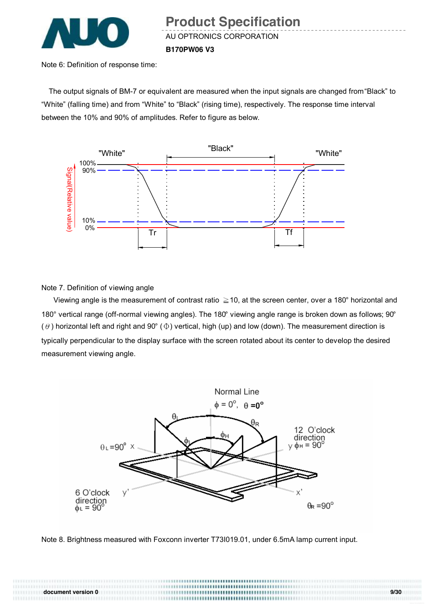

Note 6: Definition of response time:

The output signals of BM-7 or equivalent are measured when the input signals are changed from "Black" to "White" (falling time) and from "White" to "Black" (rising time), respectively. The response time interval between the 10% and 90% of amplitudes. Refer to figure as below.



Note 7. Definition of viewing angle

Viewing angle is the measurement of contrast ratio  $\geq$  10, at the screen center, over a 180° horizontal and 180° vertical range (off-normal viewing angles). The 180° viewing angle range is broken down as follows; 90° ( $\theta$ ) horizontal left and right and 90° ( $\Phi$ ) vertical, high (up) and low (down). The measurement direction is typically perpendicular to the display surface with the screen rotated about its center to develop the desired measurement viewing angle.



Note 8. Brightness measured with Foxconn inverter T73I019.01, under 6.5mA lamp current input.

**document version 0 9/30**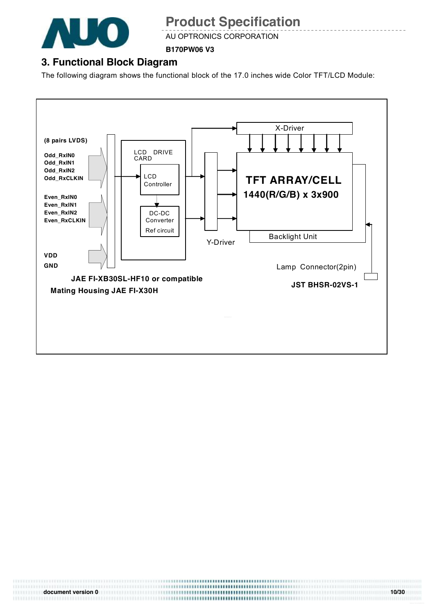

AU OPTRONICS CORPORATION

**B170PW06 V3**

## **3. Functional Block Diagram**

The following diagram shows the functional block of the 17.0 inches wide Color TFT/LCD Module:



**document version 0 10/30**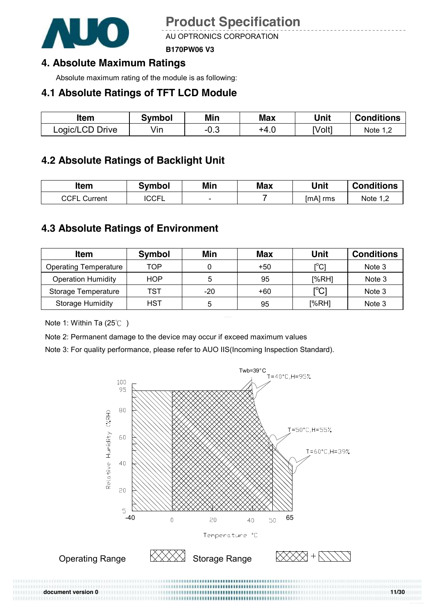

AU OPTRONICS CORPORATION

**B170PW06 V3**

### **4. Absolute Maximum Ratings**

Absolute maximum rating of the module is as following:

#### **4.1 Absolute Ratings of TFT LCD Module**

| ltem            | Svmbol | Min    | <b>Max</b> | Unit   | <b>Conditions</b> |
|-----------------|--------|--------|------------|--------|-------------------|
| Logic/LCD Drive | Vın    | $-0.3$ | +4.U       | [Volt] | Note 1,2          |

### **4.2 Absolute Ratings of Backlight Unit**

| ltem                | Svmbol       | Min                      | <b>Max</b> | Unit     | <b>Conditions</b>        |
|---------------------|--------------|--------------------------|------------|----------|--------------------------|
| <b>CCFL Current</b> | <b>ICCFL</b> | $\overline{\phantom{0}}$ |            | [mA] rms | Note $1,^{\sim}$<br>ے, ا |

#### **4.3 Absolute Ratings of Environment**

| <b>Item</b>                  | Symbol     | Min | <b>Max</b> | Unit                                    | <b>Conditions</b> |
|------------------------------|------------|-----|------------|-----------------------------------------|-------------------|
| <b>Operating Temperature</b> | TOP        |     | +50        | $\mathsf{I}^\circ\mathsf{C} \mathsf{I}$ | Note 3            |
| <b>Operation Humidity</b>    | <b>HOP</b> | 5   | 95         | [%RH]                                   | Note 3            |
| Storage Temperature          | TST        | -20 | +60        | $\mathop{\rm l{^{\circ}Cl}}$            | Note 3            |
| <b>Storage Humidity</b>      | HST        | 5   | 95         | [%RH]                                   | Note 3            |

Note 1: Within Ta (25℃ )

Note 2: Permanent damage to the device may occur if exceed maximum values

Note 3: For quality performance, please refer to AUO IIS(Incoming Inspection Standard).

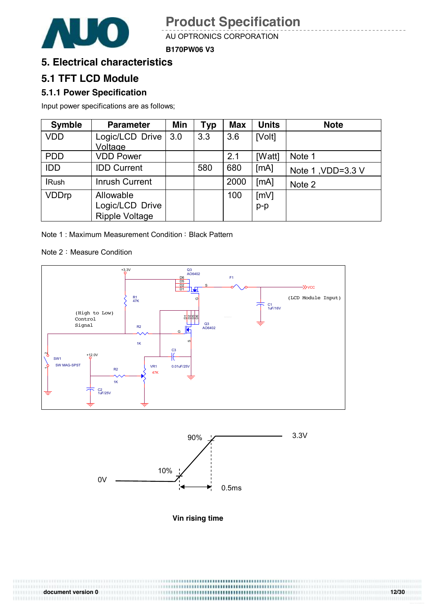

AU OPTRONICS CORPORATION

**B170PW06 V3**

#### **5. Electrical characteristics**

#### **5.1 TFT LCD Module**

#### **5.1.1 Power Specification**

Input power specifications are as follows;

| <b>Symble</b> | <b>Parameter</b>      | Min | <b>Typ</b> | <b>Max</b> | <b>Units</b> | <b>Note</b>       |
|---------------|-----------------------|-----|------------|------------|--------------|-------------------|
| <b>VDD</b>    | Logic/LCD Drive       | 3.0 | 3.3        | 3.6        | [Volt]       |                   |
|               | Voltage               |     |            |            |              |                   |
| <b>PDD</b>    | <b>VDD Power</b>      |     |            | 2.1        | [Watt]       | Note 1            |
| <b>IDD</b>    | <b>IDD Current</b>    |     | 580        | 680        | [mA]         | Note 1, VDD=3.3 V |
| <b>IRush</b>  | <b>Inrush Current</b> |     |            | 2000       | [MA]         | Note 2            |
| <b>VDDrp</b>  | Allowable             |     |            | 100        | [mV]         |                   |
|               | Logic/LCD Drive       |     |            |            | $p-p$        |                   |
|               | <b>Ripple Voltage</b> |     |            |            |              |                   |

Note 1: Maximum Measurement Condition: Black Pattern

Note 2: Measure Condition





**Vin rising time** 

**document version 0 12/30**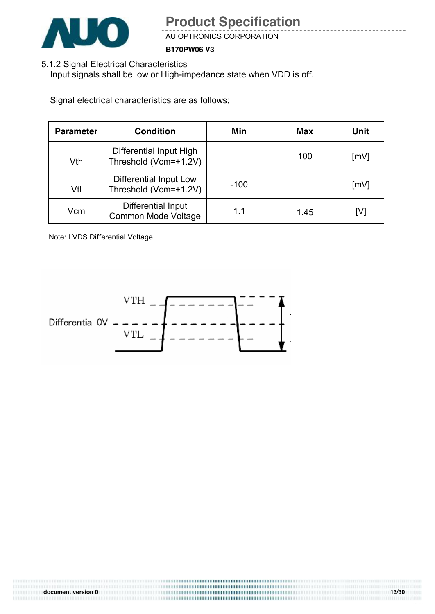

AU OPTRONICS CORPORATION

**B170PW06 V3**

5.1.2 Signal Electrical Characteristics

Input signals shall be low or High-impedance state when VDD is off.

Signal electrical characteristics are as follows;

| <b>Parameter</b> | <b>Condition</b>                                 | Min    | Max  | Unit               |
|------------------|--------------------------------------------------|--------|------|--------------------|
| Vth              | Differential Input High<br>Threshold (Vcm=+1.2V) |        | 100  | [mV]               |
| Vtl              | Differential Input Low<br>Threshold (Vcm=+1.2V)  | $-100$ |      | $\lceil mV \rceil$ |
| Vcm              | Differential Input<br><b>Common Mode Voltage</b> | 1.1    | 1.45 | [V]                |

Note: LVDS Differential Voltage

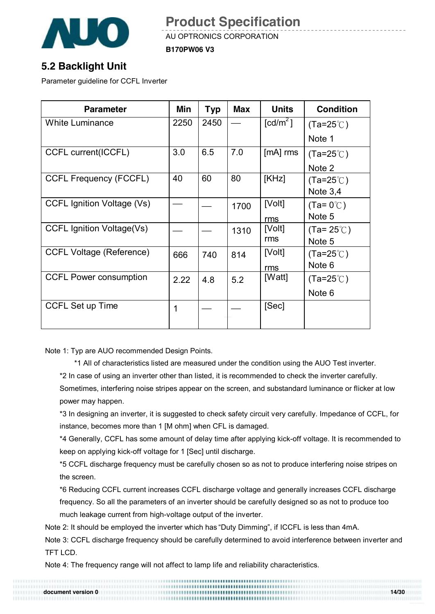

AU OPTRONICS CORPORATION

**B170PW06 V3**

### **5.2 Backlight Unit**

Parameter guideline for CCFL Inverter

| <b>Parameter</b>                 | Min  | Typ  | <b>Max</b> | <b>Units</b>               | <b>Condition</b>    |
|----------------------------------|------|------|------------|----------------------------|---------------------|
| <b>White Luminance</b>           | 2250 | 2450 |            | $\text{\textsf{[cd/m}^2]}$ | $(Ta=25^{\circ}$ C) |
|                                  |      |      |            |                            | Note 1              |
| CCFL current(ICCFL)              | 3.0  | 6.5  | 7.0        | $[mA]$ rms                 | $(Ta=25^{\circ}C)$  |
|                                  |      |      |            |                            | Note 2              |
| <b>CCFL Frequency (FCCFL)</b>    | 40   | 60   | 80         | [KHz]                      | $(Ta=25^{\circ}$ C) |
|                                  |      |      |            |                            | Note $3,4$          |
| CCFL Ignition Voltage (Vs)       |      |      | 1700       | [Volt]                     | $(Ta=0^{\circ}C)$   |
|                                  |      |      |            | rms                        | Note 5              |
| <b>CCFL Ignition Voltage(Vs)</b> |      |      | 1310       | [Volt]                     | $(Ta=25^{\circ}C)$  |
|                                  |      |      |            | rms                        | Note 5              |
| <b>CCFL Voltage (Reference)</b>  | 666  | 740  | 814        | [Volt]                     | $(Ta=25^{\circ}$ C) |
|                                  |      |      |            | rms                        | Note 6              |
| <b>CCFL Power consumption</b>    | 2.22 | 4.8  | 5.2        | [Watt]                     | $(Ta=25^{\circ}$ C) |
|                                  |      |      |            |                            | Note 6              |
| <b>CCFL Set up Time</b>          | 1    |      |            | [Sec]                      |                     |
|                                  |      |      |            |                            |                     |

Note 1: Typ are AUO recommended Design Points.

\*1 All of characteristics listed are measured under the condition using the AUO Test inverter.

\*2 In case of using an inverter other than listed, it is recommended to check the inverter carefully.

Sometimes, interfering noise stripes appear on the screen, and substandard luminance or flicker at low power may happen.

\*3 In designing an inverter, it is suggested to check safety circuit very carefully. Impedance of CCFL, for instance, becomes more than 1 [M ohm] when CFL is damaged.

\*4 Generally, CCFL has some amount of delay time after applying kick-off voltage. It is recommended to keep on applying kick-off voltage for 1 [Sec] until discharge.

\*5 CCFL discharge frequency must be carefully chosen so as not to produce interfering noise stripes on the screen.

\*6 Reducing CCFL current increases CCFL discharge voltage and generally increases CCFL discharge frequency. So all the parameters of an inverter should be carefully designed so as not to produce too much leakage current from high-voltage output of the inverter.

Note 2: It should be employed the inverter which has "Duty Dimming", if ICCFL is less than 4mA.

Note 3: CCFL discharge frequency should be carefully determined to avoid interference between inverter and TFT LCD.

**document version 0 14/30 document version 0 14/30 document version 0 14/30** 

Note 4: The frequency range will not affect to lamp life and reliability characteristics.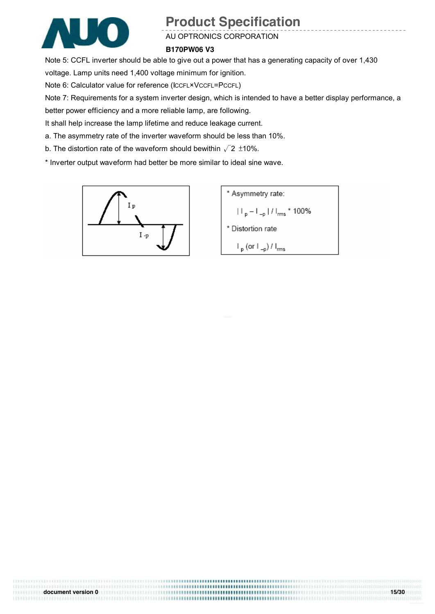

#### AU OPTRONICS CORPORATION

#### **B170PW06 V3**

Note 5: CCFL inverter should be able to give out a power that has a generating capacity of over 1,430

voltage. Lamp units need 1,400 voltage minimum for ignition.

Note 6: Calculator value for reference (ICCFL×VCCFL=PCCFL)

Note 7: Requirements for a system inverter design, which is intended to have a better display performance, a

**document version 0 15/30** 

better power efficiency and a more reliable lamp, are following.

It shall help increase the lamp lifetime and reduce leakage current.

a. The asymmetry rate of the inverter waveform should be less than 10%.

b. The distortion rate of the waveform should bewithin  $\sqrt{2}$  ±10%.

\* Inverter output waveform had better be more similar to ideal sine wave.



\* Asymmetry rate:  $|||_{p} - |||_{-p} ||/||_{\text{rms}}$  \* 100% \* Distortion rate  $\mathsf{I}_{\mathsf{p}}$  (or  $\mathsf{I}_{\mathsf{-p}}$ ) /  $\mathsf{I}_{\mathsf{rms}}$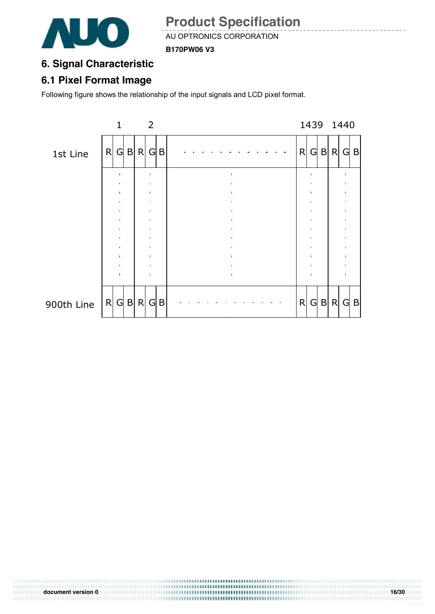

AU OPTRONICS CORPORATION

**B170PW06 V3**

### **6. Signal Characteristic**

#### **6.1 Pixel Format Image**

Following figure shows the relationship of the input signals and LCD pixel format.

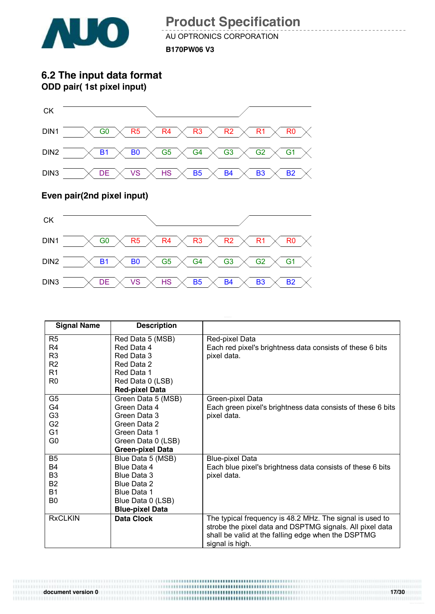

AU OPTRONICS CORPORATION **B170PW06 V3**

**6.2 The input data format ODD pair( 1st pixel input)**



#### **Even pair(2nd pixel input)**



| <b>Signal Name</b> | <b>Description</b>      |                                                             |
|--------------------|-------------------------|-------------------------------------------------------------|
| R <sub>5</sub>     | Red Data 5 (MSB)        | Red-pixel Data                                              |
| R <sub>4</sub>     | Red Data 4              | Each red pixel's brightness data consists of these 6 bits   |
| R <sub>3</sub>     | Red Data 3              | pixel data.                                                 |
| R <sub>2</sub>     | Red Data 2              |                                                             |
| R <sub>1</sub>     | Red Data 1              |                                                             |
| R <sub>0</sub>     | Red Data 0 (LSB)        |                                                             |
|                    | <b>Red-pixel Data</b>   |                                                             |
| G <sub>5</sub>     | Green Data 5 (MSB)      | Green-pixel Data                                            |
| G4                 | Green Data 4            | Each green pixel's brightness data consists of these 6 bits |
| G <sub>3</sub>     | Green Data 3            | pixel data.                                                 |
| G <sub>2</sub>     | Green Data 2            |                                                             |
| G <sub>1</sub>     | Green Data 1            |                                                             |
| G <sub>0</sub>     | Green Data 0 (LSB)      |                                                             |
|                    | <b>Green-pixel Data</b> |                                                             |
| B <sub>5</sub>     | Blue Data 5 (MSB)       | <b>Blue-pixel Data</b>                                      |
| <b>B4</b>          | Blue Data 4             | Each blue pixel's brightness data consists of these 6 bits  |
| B <sub>3</sub>     | Blue Data 3             | pixel data.                                                 |
| <b>B2</b>          | Blue Data 2             |                                                             |
| <b>B1</b>          | Blue Data 1             |                                                             |
| B0                 | Blue Data 0 (LSB)       |                                                             |
|                    | <b>Blue-pixel Data</b>  |                                                             |
| <b>RxCLKIN</b>     | <b>Data Clock</b>       | The typical frequency is 48.2 MHz. The signal is used to    |
|                    |                         | strobe the pixel data and DSPTMG signals. All pixel data    |
|                    |                         | shall be valid at the falling edge when the DSPTMG          |
|                    |                         | signal is high.                                             |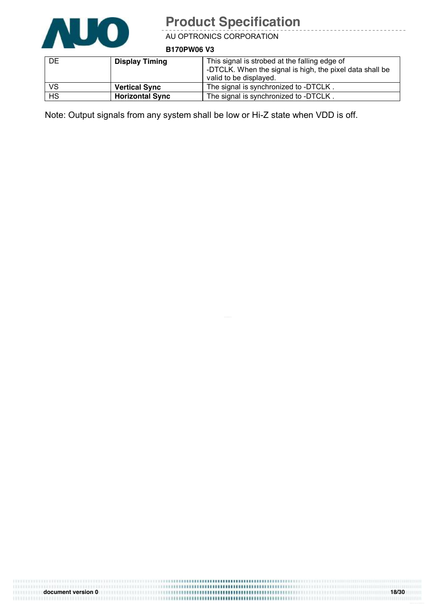

<u> - - - - - - - - -</u>

AU OPTRONICS CORPORATION

**B170PW06 V3**

| <b>DE</b> | <b>Display Timing</b>  | This signal is strobed at the falling edge of<br>-DTCLK. When the signal is high, the pixel data shall be<br>valid to be displayed. |
|-----------|------------------------|-------------------------------------------------------------------------------------------------------------------------------------|
| <b>VS</b> | <b>Vertical Sync</b>   | The signal is synchronized to -DTCLK.                                                                                               |
| <b>HS</b> | <b>Horizontal Sync</b> | The signal is synchronized to -DTCLK.                                                                                               |

Note: Output signals from any system shall be low or Hi-Z state when VDD is off.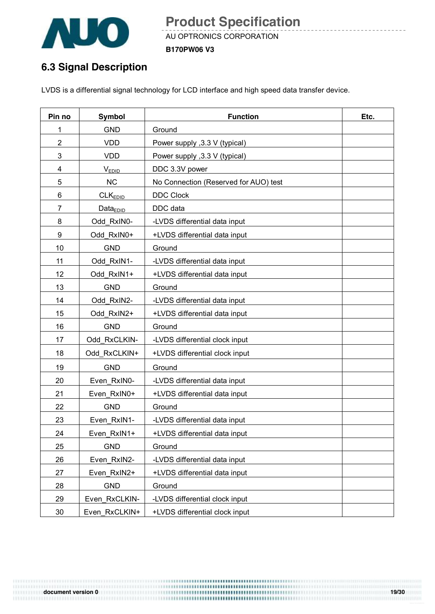

AU OPTRONICS CORPORATION **B170PW06 V3**

## **6.3 Signal Description**

LVDS is a differential signal technology for LCD interface and high speed data transfer device.

| Pin no         | <b>Symbol</b>       | <b>Function</b>                       | Etc. |
|----------------|---------------------|---------------------------------------|------|
| 1              | <b>GND</b>          | Ground                                |      |
| $\overline{2}$ | <b>VDD</b>          | Power supply , 3.3 V (typical)        |      |
| 3              | <b>VDD</b>          | Power supply , 3.3 V (typical)        |      |
| 4              | V <sub>EDID</sub>   | DDC 3.3V power                        |      |
| 5              | <b>NC</b>           | No Connection (Reserved for AUO) test |      |
| 6              | CLK <sub>EDID</sub> | <b>DDC Clock</b>                      |      |
| $\overline{7}$ | $Data_{EDID}$       | DDC data                              |      |
| 8              | Odd RxIN0-          | -LVDS differential data input         |      |
| 9              | Odd RxIN0+          | +LVDS differential data input         |      |
| 10             | <b>GND</b>          | Ground                                |      |
| 11             | Odd RxIN1-          | -LVDS differential data input         |      |
| 12             | Odd RxIN1+          | +LVDS differential data input         |      |
| 13             | <b>GND</b>          | Ground                                |      |
| 14             | Odd RxIN2-          | -LVDS differential data input         |      |
| 15             | Odd RxIN2+          | +LVDS differential data input         |      |
| 16             | <b>GND</b>          | Ground                                |      |
| 17             | Odd RxCLKIN-        | -LVDS differential clock input        |      |
| 18             | Odd RxCLKIN+        | +LVDS differential clock input        |      |
| 19             | <b>GND</b>          | Ground                                |      |
| 20             | Even RxIN0-         | -LVDS differential data input         |      |
| 21             | Even RxIN0+         | +LVDS differential data input         |      |
| 22             | <b>GND</b>          | Ground                                |      |
| 23             | Even RxIN1-         | -LVDS differential data input         |      |
| 24             | Even RxIN1+         | +LVDS differential data input         |      |
| 25             | <b>GND</b>          | Ground                                |      |
| 26             | Even_RxIN2-         | -LVDS differential data input         |      |
| 27             | Even RxIN2+         | +LVDS differential data input         |      |
| 28             | <b>GND</b>          | Ground                                |      |
| 29             | Even RxCLKIN-       | -LVDS differential clock input        |      |
| 30             | Even RxCLKIN+       | +LVDS differential clock input        |      |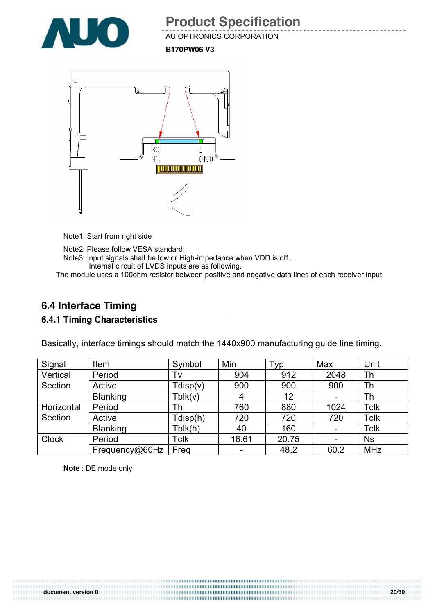

AU OPTRONICS CORPORATION

**B170PW06 V3**



Note1: Start from right side

Note2: Please follow VESA standard. Note3: Input signals shall be low or High-impedance when VDD is off. Internal circuit of LVDS inputs are as following.

The module uses a 100ohm resistor between positive and negative data lines of each receiver input

## **6.4 Interface Timing**

#### **6.4.1 Timing Characteristics**

| Signal       | Item            | Symbol      | Min   | Typ   | Max                      | Unit        |
|--------------|-----------------|-------------|-------|-------|--------------------------|-------------|
| Vertical     | Period          | Tv          | 904   | 912   | 2048                     | Th          |
| Section      | Active          | Tdisp(v)    | 900   | 900   | 900                      | Th          |
|              | <b>Blanking</b> | Tblk(v)     | 4     | 12    | -                        | Th          |
| Horizontal   | Period          | Th          | 760   | 880   | 1024                     | <b>Tclk</b> |
| Section      | Active          | Tdisp(h)    | 720   | 720   | 720                      | <b>Tclk</b> |
|              | <b>Blanking</b> | Tblk(h)     | 40    | 160   | $\overline{\phantom{a}}$ | <b>Tclk</b> |
| <b>Clock</b> | Period          | <b>Tclk</b> | 16.61 | 20.75 | $\overline{\phantom{a}}$ | <b>Ns</b>   |
|              | Frequency@60Hz  | Freg        |       | 48.2  | 60.2                     | <b>MHz</b>  |

Basically, interface timings should match the 1440x900 manufacturing guide line timing.

**Note** : DE mode only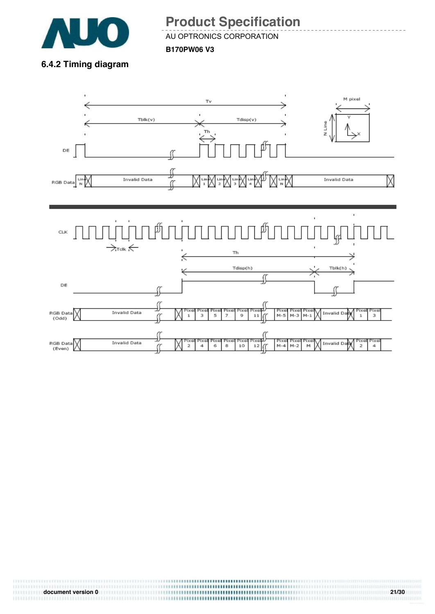

AU OPTRONICS CORPORATION **B170PW06 V3**

**6.4.2 Timing diagram** 





# **document version 0 21/30 21/30**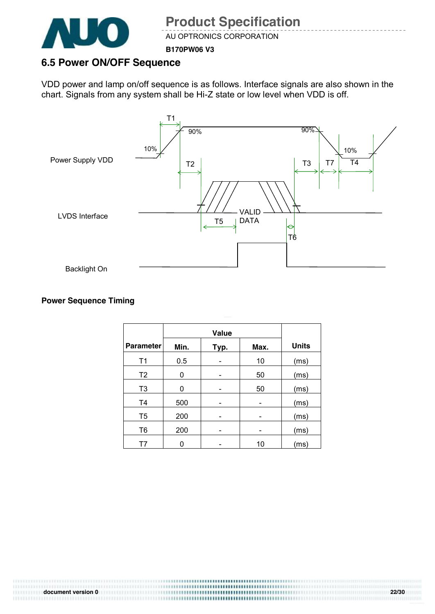

AU OPTRONICS CORPORATION

**B170PW06 V3**

#### **6.5 Power ON/OFF Sequence**

VDD power and lamp on/off sequence is as follows. Interface signals are also shown in the chart. Signals from any system shall be Hi-Z state or low level when VDD is off.



#### **Power Sequence Timing**

|                  |      | Value |      |              |
|------------------|------|-------|------|--------------|
| <b>Parameter</b> | Min. | Typ.  | Max. | <b>Units</b> |
| T <sub>1</sub>   | 0.5  |       | 10   | (ms)         |
| T <sub>2</sub>   | 0    |       | 50   | (ms)         |
| T <sub>3</sub>   | 0    |       | 50   | (ms)         |
| T <sub>4</sub>   | 500  |       |      | (ms)         |
| T <sub>5</sub>   | 200  |       |      | (ms)         |
| T <sub>6</sub>   | 200  |       |      | (ms)         |
| Τ7               |      |       | 10   | (ms)         |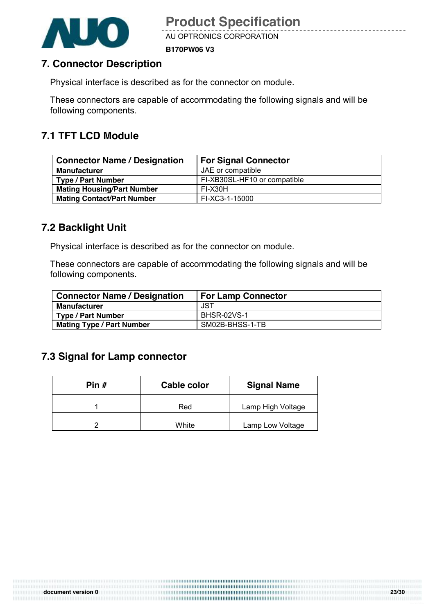

AU OPTRONICS CORPORATION

**B170PW06 V3**

#### **7. Connector Description**

Physical interface is described as for the connector on module.

These connectors are capable of accommodating the following signals and will be following components.

### **7.1 TFT LCD Module**

| <b>Connector Name / Designation</b> | <b>For Signal Connector</b>  |  |
|-------------------------------------|------------------------------|--|
| <b>Manufacturer</b>                 | JAE or compatible            |  |
| <b>Type / Part Number</b>           | FI-XB30SL-HF10 or compatible |  |
| <b>Mating Housing/Part Number</b>   | FI-X30H                      |  |
| <b>Mating Contact/Part Number</b>   | FI-XC3-1-15000               |  |

### **7.2 Backlight Unit**

Physical interface is described as for the connector on module.

These connectors are capable of accommodating the following signals and will be following components.

| <b>Connector Name / Designation</b> | <b>For Lamp Connector</b> |
|-------------------------------------|---------------------------|
| <b>Manufacturer</b>                 | JST                       |
| <b>Type / Part Number</b>           | <b>BHSR-02VS-1</b>        |
| <b>Mating Type / Part Number</b>    | SM02B-BHSS-1-TB           |

#### **7.3 Signal for Lamp connector**

| Pin # | Cable color | <b>Signal Name</b> |
|-------|-------------|--------------------|
|       | Red         | Lamp High Voltage  |
| ⌒     | White       | Lamp Low Voltage   |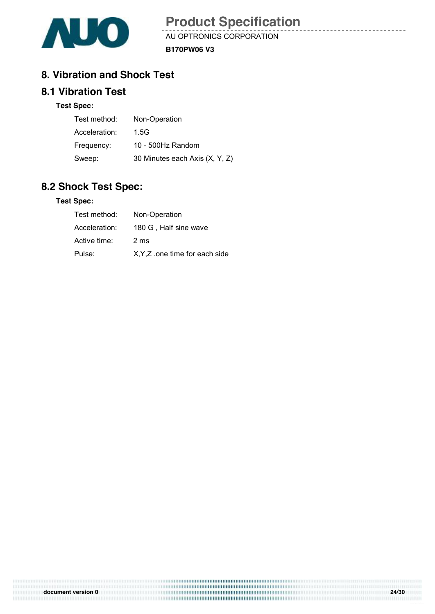

AU OPTRONICS CORPORATION **B170PW06 V3**

#### **8. Vibration and Shock Test**

#### **8.1 Vibration Test**

#### **Test Spec:**

| Test method:  | Non-Operation                  |
|---------------|--------------------------------|
| Acceleration: | 1.5G                           |
| Frequency:    | 10 - 500Hz Random              |
| Sweep:        | 30 Minutes each Axis (X, Y, Z) |

#### **8.2 Shock Test Spec:**

#### **Test Spec:**

| Test method:  | Non-Operation                  |
|---------------|--------------------------------|
| Acceleration: | 180 G, Half sine wave          |
| Active time:  | 2 <sub>ms</sub>                |
| Pulse:        | X, Y, Z one time for each side |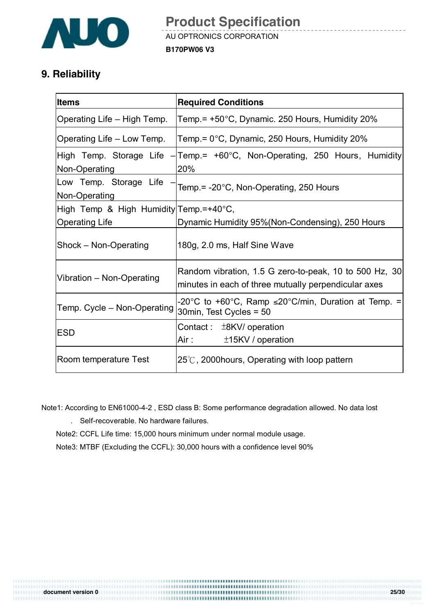

### **9. Reliability**

| <b>Items</b>                            | <b>Required Conditions</b>                                                                                                                                              |  |  |
|-----------------------------------------|-------------------------------------------------------------------------------------------------------------------------------------------------------------------------|--|--|
| Operating Life – High Temp.             | Temp. = +50°C, Dynamic. 250 Hours, Humidity 20%                                                                                                                         |  |  |
| Operating Life – Low Temp.              | Temp.= 0°C, Dynamic, 250 Hours, Humidity 20%                                                                                                                            |  |  |
| Non-Operating                           | High Temp. Storage Life - Temp.= +60°C, Non-Operating, 250 Hours, Humidity<br>20%                                                                                       |  |  |
| Low Temp. Storage Life<br>Non-Operating | Temp.= -20°C, Non-Operating, 250 Hours                                                                                                                                  |  |  |
| High Temp & High Humidity Temp.=+40°C,  |                                                                                                                                                                         |  |  |
| <b>Operating Life</b>                   | Dynamic Humidity 95% (Non-Condensing), 250 Hours                                                                                                                        |  |  |
| Shock - Non-Operating                   | 180g, 2.0 ms, Half Sine Wave                                                                                                                                            |  |  |
| Vibration - Non-Operating               | Random vibration, 1.5 G zero-to-peak, 10 to 500 Hz, 30<br>minutes in each of three mutually perpendicular axes                                                          |  |  |
| Temp. Cycle – Non-Operating             | -20°C to +60°C, Ramp $\leq$ 20°C/min, Duration at Temp. =<br>30min, Test Cycles = 50                                                                                    |  |  |
| <b>IESD</b>                             | Contact: $\pm$ 8KV/ operation<br>Air : The Marian Service Service Service Service Service Service Service Service Service Service Service Servi<br>$±15$ KV / operation |  |  |
| Room temperature Test                   | $25^{\circ}$ C, 2000 hours, Operating with loop pattern                                                                                                                 |  |  |

Note1: According to EN61000-4-2 , ESD class B: Some performance degradation allowed. No data lost

. Self-recoverable. No hardware failures.

Note2: CCFL Life time: 15,000 hours minimum under normal module usage.

Note3: MTBF (Excluding the CCFL): 30,000 hours with a confidence level 90%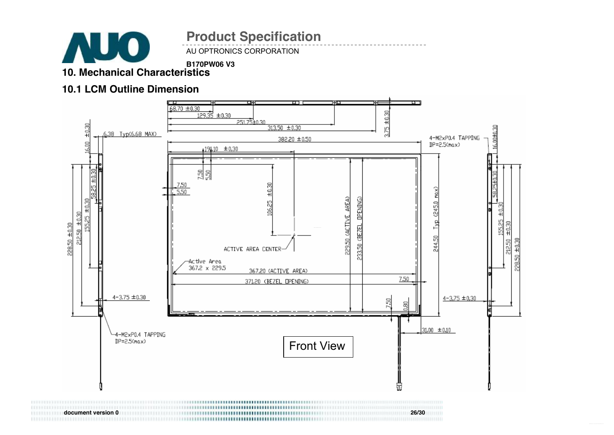

AU OPTRONICS CORPORATION **Product Specification** 

**B170PW06 V3**

#### **10. Mechanical Characteristics**

#### **10.1 LCM Outline Dimension**



**document version 0 26/30**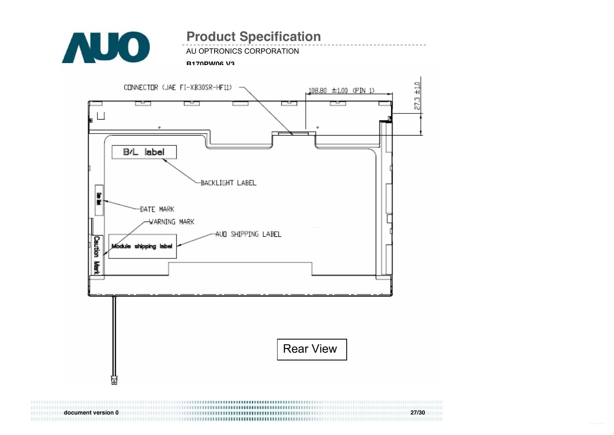

AU OPTRONICS CORPORATION

#### **B170PW06 V3**



**document version 0 27/30**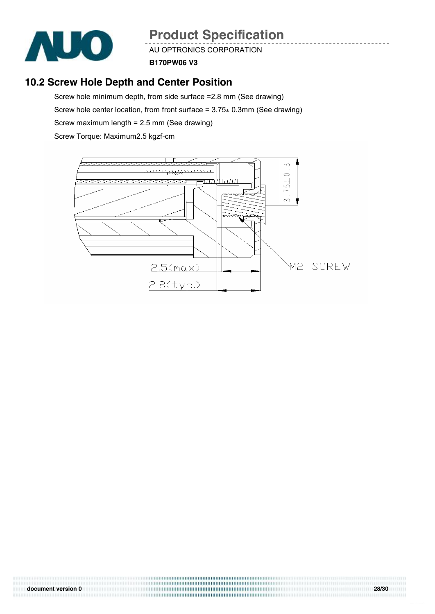

AU OPTRONICS CORPORATION

**B170PW06 V3**

### **10.2 Screw Hole Depth and Center Position**

Screw hole minimum depth, from side surface =2.8 mm (See drawing) Screw hole center location, from front surface =  $3.75 \pm 0.3$ mm (See drawing) Screw maximum length = 2.5 mm (See drawing)

Screw Torque: Maximum2.5 kgzf-cm



**document version 0 28/30**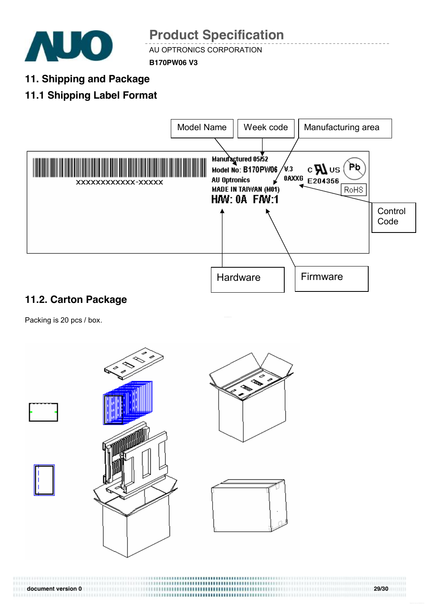

AU OPTRONICS CORPORATION

**B170PW06 V3**

**11. Shipping and Package** 

## **11.1 Shipping Label Format**



## **11.2. Carton Package**

Packing is 20 pcs / box.



**document version 0 29/30**